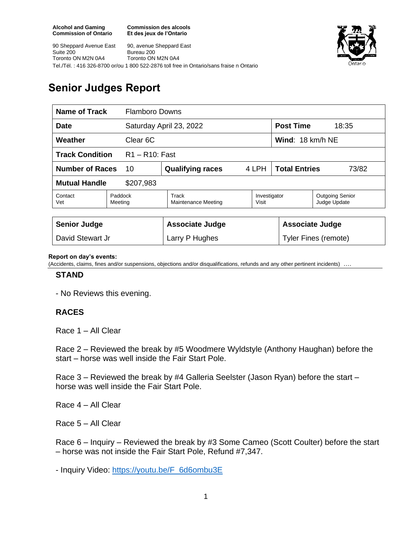**Commission des alcools Et des jeux de l'Ontario**



90 Sheppard Avenue East Suite 200 Toronto ON M2N 0A4 90, avenue Sheppard East Bureau 200 Toronto ON M2N 0A4 Tel./Tél. : 416 326-8700 or/ou 1 800 522-2876 toll free in Ontario/sans fraise n Ontario

# **Senior Judges Report**

| Name of Track<br><b>Flamboro Downs</b>      |                    |                              |                       |                               |                                        |  |
|---------------------------------------------|--------------------|------------------------------|-----------------------|-------------------------------|----------------------------------------|--|
| <b>Date</b>                                 |                    | Saturday April 23, 2022      |                       |                               | <b>Post Time</b><br>18:35              |  |
| Weather<br>Clear 6C                         |                    |                              |                       | Wind: 18 km/h NE              |                                        |  |
| <b>Track Condition</b><br>$R1 - R10$ : Fast |                    |                              |                       |                               |                                        |  |
| <b>Number of Races</b><br>10                |                    | <b>Qualifying races</b>      | 4 LPH                 | <b>Total Entries</b><br>73/82 |                                        |  |
| <b>Mutual Handle</b><br>\$207,983           |                    |                              |                       |                               |                                        |  |
| Contact<br>Vet                              | Paddock<br>Meeting | Track<br>Maintenance Meeting | Investigator<br>Visit |                               | <b>Outgoing Senior</b><br>Judge Update |  |
|                                             |                    |                              |                       |                               |                                        |  |
| <b>Senior Judge</b>                         |                    | <b>Associate Judge</b>       |                       | <b>Associate Judge</b>        |                                        |  |
| David Stewart Jr                            |                    | Larry P Hughes               |                       |                               | <b>Tyler Fines (remote)</b>            |  |

#### **Report on day's events:**

(Accidents, claims, fines and/or suspensions, objections and/or disqualifications, refunds and any other pertinent incidents) ….

#### **STAND**

- No Reviews this evening.

### **RACES**

Race 1 – All Clear

Race 2 – Reviewed the break by #5 Woodmere Wyldstyle (Anthony Haughan) before the start – horse was well inside the Fair Start Pole.

Race 3 – Reviewed the break by #4 Galleria Seelster (Jason Ryan) before the start – horse was well inside the Fair Start Pole.

Race 4 – All Clear

Race 5 – All Clear

Race 6 – Inquiry – Reviewed the break by #3 Some Cameo (Scott Coulter) before the start – horse was not inside the Fair Start Pole, Refund #7,347.

- Inquiry Video: [https://youtu.be/F\\_6d6ombu3E](https://youtu.be/F_6d6ombu3E)